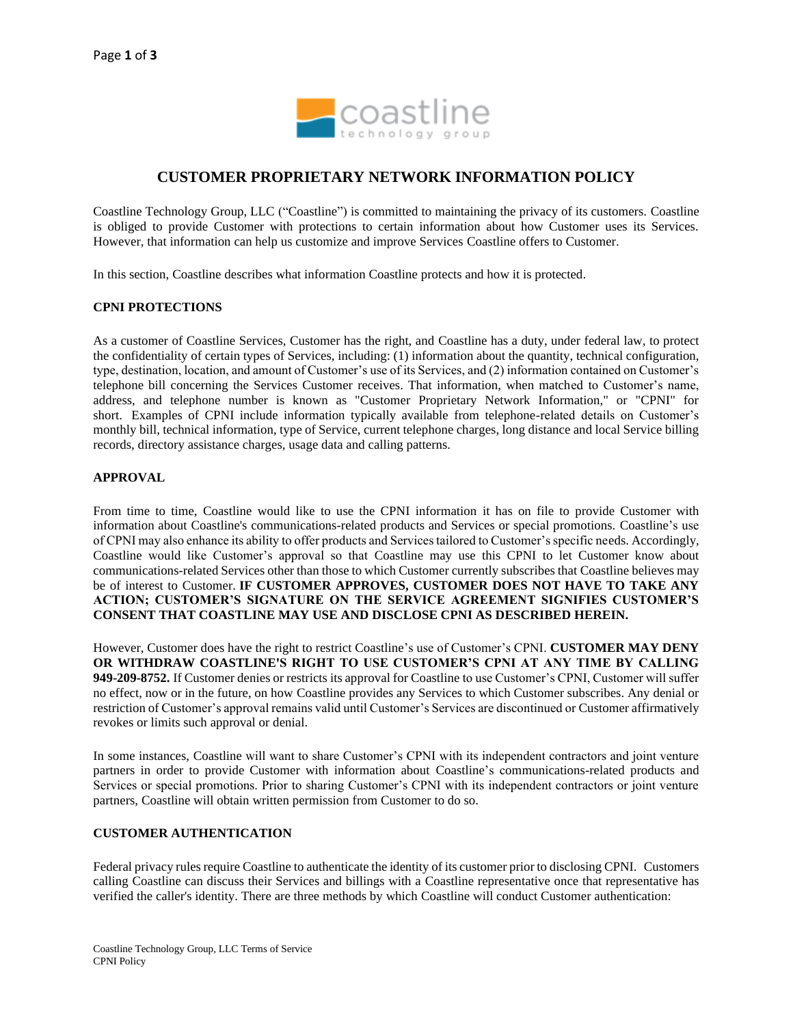

# **CUSTOMER PROPRIETARY NETWORK INFORMATION POLICY**

Coastline Technology Group, LLC ("Coastline") is committed to maintaining the privacy of its customers. Coastline is obliged to provide Customer with protections to certain information about how Customer uses its Services. However, that information can help us customize and improve Services Coastline offers to Customer.

In this section, Coastline describes what information Coastline protects and how it is protected.

#### **CPNI PROTECTIONS**

As a customer of Coastline Services, Customer has the right, and Coastline has a duty, under federal law, to protect the confidentiality of certain types of Services, including: (1) information about the quantity, technical configuration, type, destination, location, and amount of Customer's use of its Services, and (2) information contained on Customer's telephone bill concerning the Services Customer receives. That information, when matched to Customer's name, address, and telephone number is known as "Customer Proprietary Network Information," or "CPNI" for short. Examples of CPNI include information typically available from telephone-related details on Customer's monthly bill, technical information, type of Service, current telephone charges, long distance and local Service billing records, directory assistance charges, usage data and calling patterns.

#### **APPROVAL**

From time to time, Coastline would like to use the CPNI information it has on file to provide Customer with information about Coastline's communications-related products and Services or special promotions. Coastline's use of CPNI may also enhance its ability to offer products and Services tailored to Customer's specific needs. Accordingly, Coastline would like Customer's approval so that Coastline may use this CPNI to let Customer know about communications-related Services other than those to which Customer currently subscribes that Coastline believes may be of interest to Customer. **IF CUSTOMER APPROVES, CUSTOMER DOES NOT HAVE TO TAKE ANY ACTION; CUSTOMER'S SIGNATURE ON THE SERVICE AGREEMENT SIGNIFIES CUSTOMER'S CONSENT THAT COASTLINE MAY USE AND DISCLOSE CPNI AS DESCRIBED HEREIN.**

However, Customer does have the right to restrict Coastline's use of Customer's CPNI. **CUSTOMER MAY DENY OR WITHDRAW COASTLINE'S RIGHT TO USE CUSTOMER'S CPNI AT ANY TIME BY CALLING 949-209-8752.** If Customer denies or restricts its approval for Coastline to use Customer's CPNI, Customer will suffer no effect, now or in the future, on how Coastline provides any Services to which Customer subscribes. Any denial or restriction of Customer's approval remains valid until Customer's Services are discontinued or Customer affirmatively revokes or limits such approval or denial.

In some instances, Coastline will want to share Customer's CPNI with its independent contractors and joint venture partners in order to provide Customer with information about Coastline's communications-related products and Services or special promotions. Prior to sharing Customer's CPNI with its independent contractors or joint venture partners, Coastline will obtain written permission from Customer to do so.

## **CUSTOMER AUTHENTICATION**

Federal privacy rules require Coastline to authenticate the identity of its customer prior to disclosing CPNI. Customers calling Coastline can discuss their Services and billings with a Coastline representative once that representative has verified the caller's identity. There are three methods by which Coastline will conduct Customer authentication: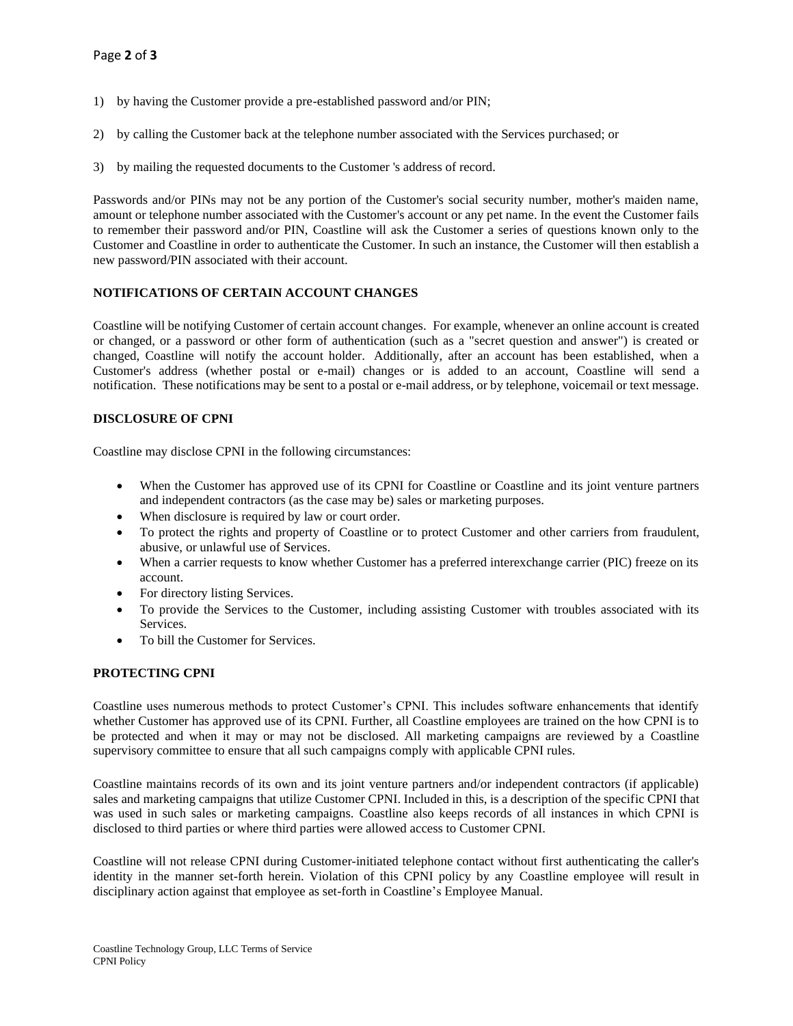- 1) by having the Customer provide a pre-established password and/or PIN;
- 2) by calling the Customer back at the telephone number associated with the Services purchased; or
- 3) by mailing the requested documents to the Customer 's address of record.

Passwords and/or PINs may not be any portion of the Customer's social security number, mother's maiden name, amount or telephone number associated with the Customer's account or any pet name. In the event the Customer fails to remember their password and/or PIN, Coastline will ask the Customer a series of questions known only to the Customer and Coastline in order to authenticate the Customer. In such an instance, the Customer will then establish a new password/PIN associated with their account.

## **NOTIFICATIONS OF CERTAIN ACCOUNT CHANGES**

Coastline will be notifying Customer of certain account changes. For example, whenever an online account is created or changed, or a password or other form of authentication (such as a "secret question and answer") is created or changed, Coastline will notify the account holder. Additionally, after an account has been established, when a Customer's address (whether postal or e-mail) changes or is added to an account, Coastline will send a notification. These notifications may be sent to a postal or e-mail address, or by telephone, voicemail or text message.

## **DISCLOSURE OF CPNI**

Coastline may disclose CPNI in the following circumstances:

- When the Customer has approved use of its CPNI for Coastline or Coastline and its joint venture partners and independent contractors (as the case may be) sales or marketing purposes.
- When disclosure is required by law or court order.
- To protect the rights and property of Coastline or to protect Customer and other carriers from fraudulent, abusive, or unlawful use of Services.
- When a carrier requests to know whether Customer has a preferred interexchange carrier (PIC) freeze on its account.
- For directory listing Services.
- To provide the Services to the Customer, including assisting Customer with troubles associated with its Services.
- To bill the Customer for Services.

## **PROTECTING CPNI**

Coastline uses numerous methods to protect Customer's CPNI. This includes software enhancements that identify whether Customer has approved use of its CPNI. Further, all Coastline employees are trained on the how CPNI is to be protected and when it may or may not be disclosed. All marketing campaigns are reviewed by a Coastline supervisory committee to ensure that all such campaigns comply with applicable CPNI rules.

Coastline maintains records of its own and its joint venture partners and/or independent contractors (if applicable) sales and marketing campaigns that utilize Customer CPNI. Included in this, is a description of the specific CPNI that was used in such sales or marketing campaigns. Coastline also keeps records of all instances in which CPNI is disclosed to third parties or where third parties were allowed access to Customer CPNI.

Coastline will not release CPNI during Customer-initiated telephone contact without first authenticating the caller's identity in the manner set-forth herein. Violation of this CPNI policy by any Coastline employee will result in disciplinary action against that employee as set-forth in Coastline's Employee Manual.